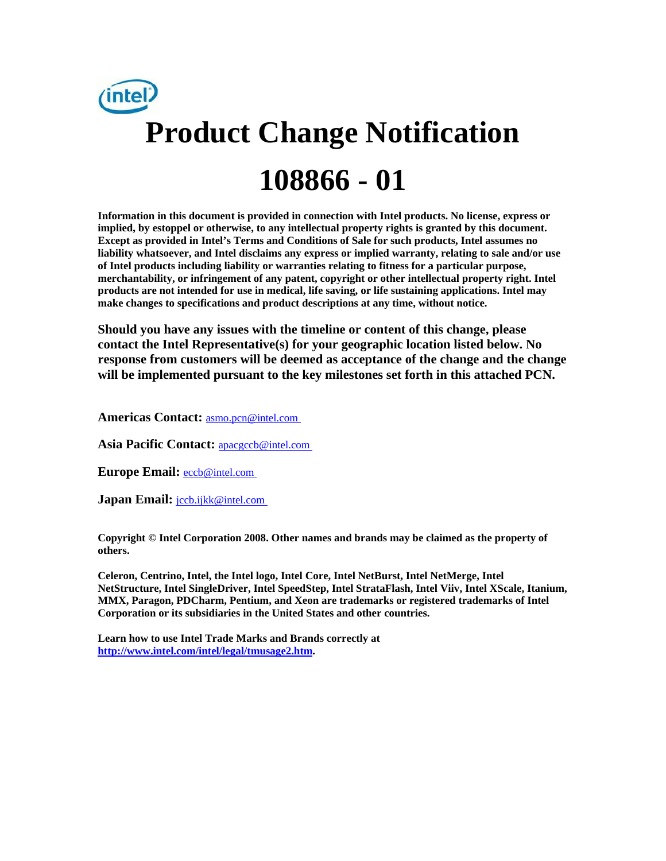

**Information in this document is provided in connection with Intel products. No license, express or implied, by estoppel or otherwise, to any intellectual property rights is granted by this document. Except as provided in Intel's Terms and Conditions of Sale for such products, Intel assumes no liability whatsoever, and Intel disclaims any express or implied warranty, relating to sale and/or use of Intel products including liability or warranties relating to fitness for a particular purpose, merchantability, or infringement of any patent, copyright or other intellectual property right. Intel products are not intended for use in medical, life saving, or life sustaining applications. Intel may make changes to specifications and product descriptions at any time, without notice.** 

**Should you have any issues with the timeline or content of this change, please contact the Intel Representative(s) for your geographic location listed below. No response from customers will be deemed as acceptance of the change and the change will be implemented pursuant to the key milestones set forth in this attached PCN.** 

**Americas Contact:** [asmo.pcn@intel.com](mailto:asmo.pcn@intel.com) 

**Asia Pacific Contact:** [apacgccb@intel.com](mailto:apacgccb@intel.com) 

Europe Email: **eccb@intel.com** 

**Japan Email:** *jccb.ijkk@intel.com* 

**Copyright © Intel Corporation 2008. Other names and brands may be claimed as the property of others.**

**Celeron, Centrino, Intel, the Intel logo, Intel Core, Intel NetBurst, Intel NetMerge, Intel NetStructure, Intel SingleDriver, Intel SpeedStep, Intel StrataFlash, Intel Viiv, Intel XScale, Itanium, MMX, Paragon, PDCharm, Pentium, and Xeon are trademarks or registered trademarks of Intel Corporation or its subsidiaries in the United States and other countries.** 

**Learn how to use Intel Trade Marks and Brands correctly at [http://www.intel.com/intel/legal/tmusage2.htm.](http://www.intel.com/intel/legal/tmusage2.htm)**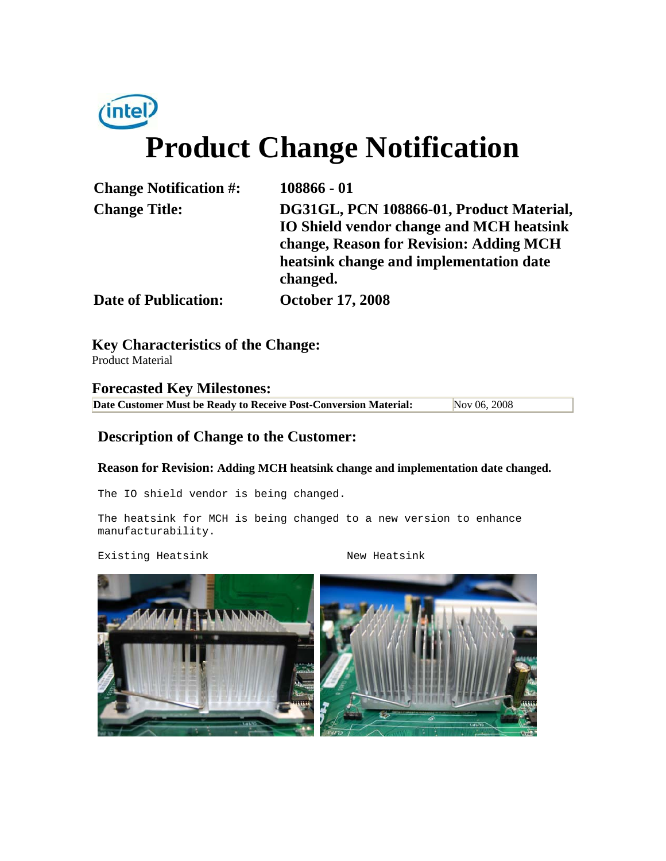# $(intel)$ **Product Change Notification**

| <b>Change Notification #:</b> | 108866 - 01                                     |
|-------------------------------|-------------------------------------------------|
| <b>Change Title:</b>          | DG31GL, PCN 108866-01, Product Material,        |
|                               | <b>IO Shield vendor change and MCH heatsink</b> |
|                               | change, Reason for Revision: Adding MCH         |
|                               | heatsink change and implementation date         |
|                               | changed.                                        |
| <b>Date of Publication:</b>   | <b>October 17, 2008</b>                         |

**Key Characteristics of the Change:** Product Material

**Forecasted Key Milestones: Date Customer Must be Ready to Receive Post-Conversion Material:** Nov 06, 2008

### **Description of Change to the Customer:**

#### **Reason for Revision: Adding MCH heatsink change and implementation date changed.**

The IO shield vendor is being changed.

The heatsink for MCH is being changed to a new version to enhance manufacturability.

Existing Heatsink New Heatsink